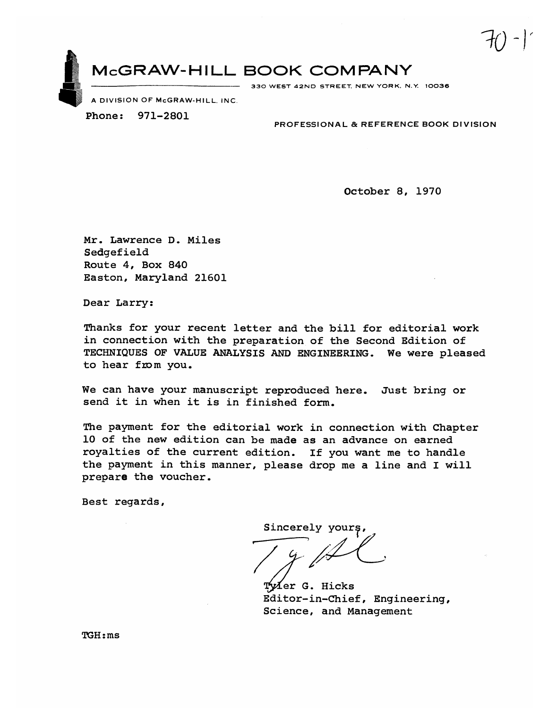McGRAW-HILL BOOK COMPANY

330 WEST 42ND STREET, NEW YORK, N.Y. 10036

A DIVISION OF McGRAW-HILL, INC.

971-2801 Phone:

PROFESSIONAL & REFERENCE BOOK DIVISION

October 8, 1970

Mr. Lawrence D. Miles Sedgefield Route 4, Box 840 Easton, Maryland 21601

Dear Larry:

Thanks for your recent letter and the bill for editorial work in connection with the preparation of the Second Edition of TECHNIQUES OF VALUE ANALYSIS AND ENGINEERING. We were pleased to hear from you.

We can have your manuscript reproduced here. Just bring or send it in when it is in finished form.

The payment for the editorial work in connection with Chapter 10 of the new edition can be made as an advance on earned royalties of the current edition. If you want me to handle the payment in this manner, please drop me a line and I will prepare the voucher.

Best regards,

Sincerely yours,

Tyler G. Hicks Editor-in-Chief, Engineering, Science, and Management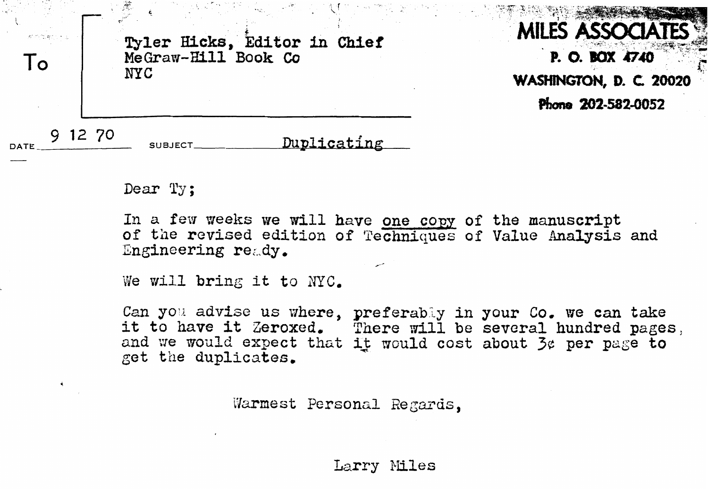

Dear Ty:

In a few weeks we will have one copy of the manuscript of the revised edition of Techniques of Value Analysis and Engineering ready.

We will bring it to NYC.

Can you advise us where, preferably in your Co. we can take **it** to **have it Zeroxcd,** There **vi11** be **several hundred** pages, and we would expect that it would cost about  $\mathfrak{Z}_{\mathcal{C}}$  per page to get the **duplicates.** 

Warmest Personal Regards.

Larry PIiles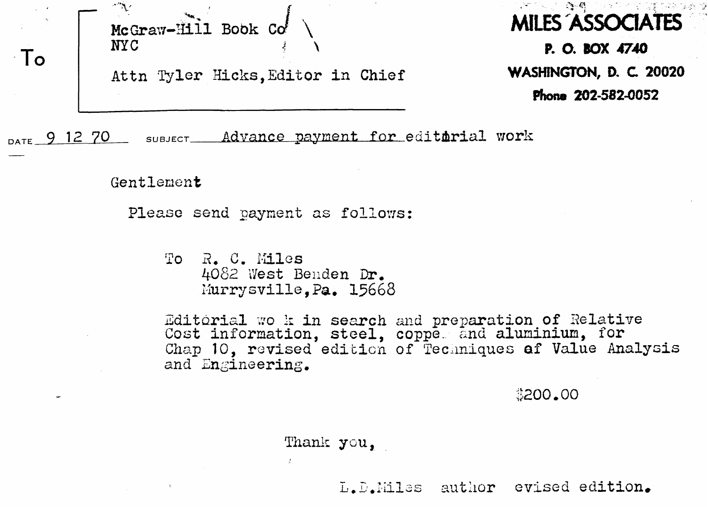McGraw-Hill Book Co **NYC** To Attn Tyler Hicks, Editor in Chief

 $\mathcal{E}^{\mathbf{v}}_{\mathbf{z}}$ **MILES ASSOCIATES** P. O. BOX 4740 WASHINGTON, D. C. 20020 Phone 202-582-0052

DATE 9 12 70 SUBJECT\_ Advance payment for editarial work

Gentlement

Please send payment as follows:

To R. C. Miles 4082 West Benden Dr. Murrysville.Pa. 15668

Editorial wook in search and preparation of Relative Cost information, steel, copper and aluminium, for Chap 10, revised edition of Techniques of Value Analysis and Engineering.

\$200.00

Thank you.

L.D.Miles author evised edition.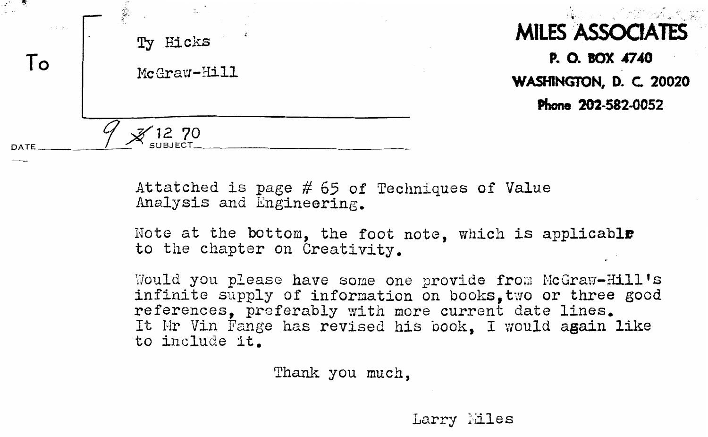

**Attatched is** page # 65 **of** Techniques of Value Analysis and **Engineering.** 

Note at the bottom, **the** foot note, **which is applicable**  to the chapter on Creativity.

Would you please have some one provide from McGraw-Hill's infinite supply of information on books. two or three good **references, preferably with more current date lines.** It Mr Vin Fange has revised his book, I would again like to include **it.** 

Thank you much,

Larry Miles